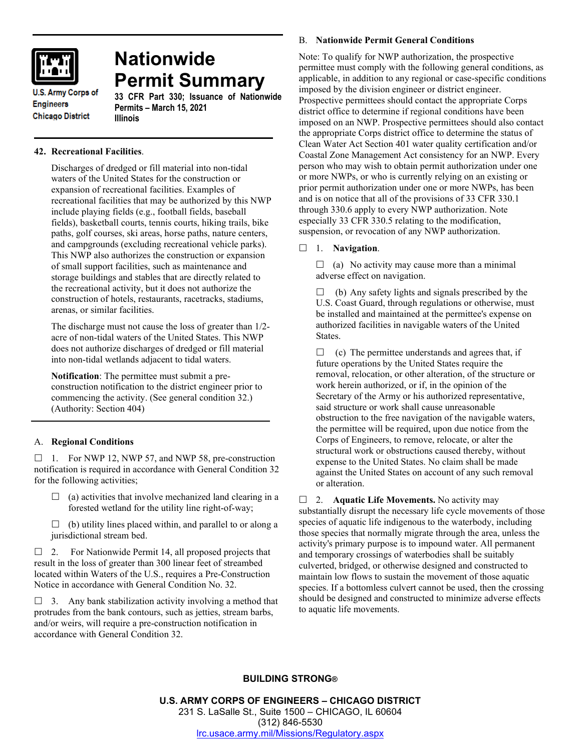

# **Nationwide Permit Summary**

**U.S. Army Corps of Engineers Chicago District** 

#### **33 CFR Part 330; Issuance of Nationwide Permits – March 15, 2021 Illinois**

# **42. Recreational Facilities**.

Discharges of dredged or fill material into non-tidal waters of the United States for the construction or expansion of recreational facilities. Examples of recreational facilities that may be authorized by this NWP include playing fields (e.g., football fields, baseball fields), basketball courts, tennis courts, hiking trails, bike paths, golf courses, ski areas, horse paths, nature centers, and campgrounds (excluding recreational vehicle parks). This NWP also authorizes the construction or expansion of small support facilities, such as maintenance and storage buildings and stables that are directly related to the recreational activity, but it does not authorize the construction of hotels, restaurants, racetracks, stadiums, arenas, or similar facilities.

The discharge must not cause the loss of greater than 1/2 acre of non-tidal waters of the United States. This NWP does not authorize discharges of dredged or fill material into non-tidal wetlands adjacent to tidal waters.

**Notification**: The permittee must submit a preconstruction notification to the district engineer prior to commencing the activity. (See general condition 32.) (Authority: Section 404)

# A. **Regional Conditions**

 $\Box$  1. For NWP 12, NWP 57, and NWP 58, pre-construction notification is required in accordance with General Condition 32 for the following activities;

- $\Box$  (a) activities that involve mechanized land clearing in a forested wetland for the utility line right-of-way;
- $\Box$  (b) utility lines placed within, and parallel to or along a jurisdictional stream bed.

 $\Box$  2. For Nationwide Permit 14, all proposed projects that result in the loss of greater than 300 linear feet of streambed located within Waters of the U.S., requires a Pre-Construction Notice in accordance with General Condition No. 32.

 $\Box$  3. Any bank stabilization activity involving a method that protrudes from the bank contours, such as jetties, stream barbs, and/or weirs, will require a pre-construction notification in accordance with General Condition 32.

# B. **Nationwide Permit General Conditions**

Note: To qualify for NWP authorization, the prospective permittee must comply with the following general conditions, as applicable, in addition to any regional or case-specific conditions imposed by the division engineer or district engineer. Prospective permittees should contact the appropriate Corps district office to determine if regional conditions have been imposed on an NWP. Prospective permittees should also contact the appropriate Corps district office to determine the status of Clean Water Act Section 401 water quality certification and/or Coastal Zone Management Act consistency for an NWP. Every person who may wish to obtain permit authorization under one or more NWPs, or who is currently relying on an existing or prior permit authorization under one or more NWPs, has been and is on notice that all of the provisions of 33 CFR 330.1 through 330.6 apply to every NWP authorization. Note especially 33 CFR 330.5 relating to the modification, suspension, or revocation of any NWP authorization.

# 1. **Navigation**.

 $\Box$  (a) No activity may cause more than a minimal adverse effect on navigation.

 $\Box$  (b) Any safety lights and signals prescribed by the U.S. Coast Guard, through regulations or otherwise, must be installed and maintained at the permittee's expense on authorized facilities in navigable waters of the United States.

 $\Box$  (c) The permittee understands and agrees that, if future operations by the United States require the removal, relocation, or other alteration, of the structure or work herein authorized, or if, in the opinion of the Secretary of the Army or his authorized representative, said structure or work shall cause unreasonable obstruction to the free navigation of the navigable waters, the permittee will be required, upon due notice from the Corps of Engineers, to remove, relocate, or alter the structural work or obstructions caused thereby, without expense to the United States. No claim shall be made against the United States on account of any such removal or alteration.

□ 2. **Aquatic Life Movements.** No activity may substantially disrupt the necessary life cycle movements of those species of aquatic life indigenous to the waterbody, including those species that normally migrate through the area, unless the activity's primary purpose is to impound water. All permanent and temporary crossings of waterbodies shall be suitably culverted, bridged, or otherwise designed and constructed to maintain low flows to sustain the movement of those aquatic species. If a bottomless culvert cannot be used, then the crossing should be designed and constructed to minimize adverse effects to aquatic life movements.

# **BUILDING STRONG®**

**U.S. ARMY CORPS OF ENGINEERS – CHICAGO DISTRICT** 231 S. LaSalle St., Suite 1500 – CHICAGO, IL 60604 (312) 846-5530 [lrc.usace.army.mil/Missions/Regulatory.aspx](https://www.lrc.usace.army.mil/Missions/Regulatory.aspx)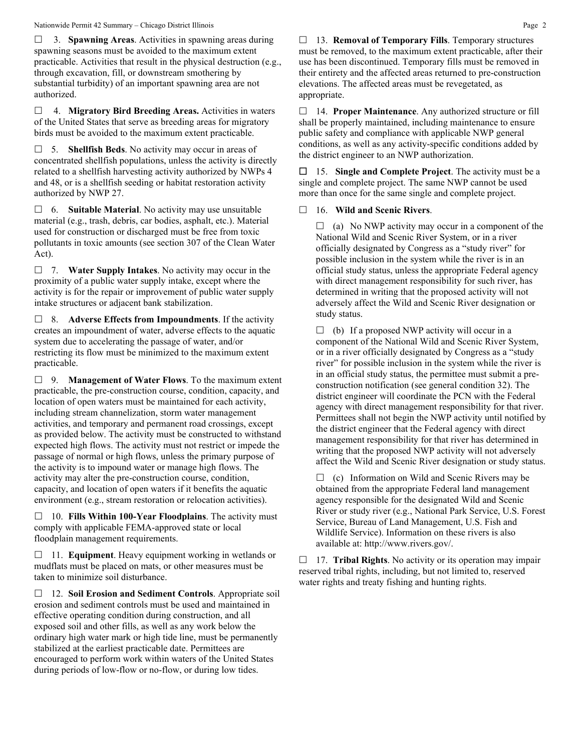#### Nationwide Permit 42 Summary – Chicago District Illinois **Page 2** Page 2

 3. **Spawning Areas**. Activities in spawning areas during spawning seasons must be avoided to the maximum extent practicable. Activities that result in the physical destruction (e.g., through excavation, fill, or downstream smothering by substantial turbidity) of an important spawning area are not authorized.

 4. **Migratory Bird Breeding Areas.** Activities in waters of the United States that serve as breeding areas for migratory birds must be avoided to the maximum extent practicable.

 5. **Shellfish Beds**. No activity may occur in areas of concentrated shellfish populations, unless the activity is directly related to a shellfish harvesting activity authorized by NWPs 4 and 48, or is a shellfish seeding or habitat restoration activity authorized by NWP 27.

 6. **Suitable Material**. No activity may use unsuitable material (e.g., trash, debris, car bodies, asphalt, etc.). Material used for construction or discharged must be free from toxic pollutants in toxic amounts (see section 307 of the Clean Water Act).

 7. **Water Supply Intakes**. No activity may occur in the proximity of a public water supply intake, except where the activity is for the repair or improvement of public water supply intake structures or adjacent bank stabilization.

 8. **Adverse Effects from Impoundments**. If the activity creates an impoundment of water, adverse effects to the aquatic system due to accelerating the passage of water, and/or restricting its flow must be minimized to the maximum extent practicable.

 9. **Management of Water Flows**. To the maximum extent practicable, the pre-construction course, condition, capacity, and location of open waters must be maintained for each activity, including stream channelization, storm water management activities, and temporary and permanent road crossings, except as provided below. The activity must be constructed to withstand expected high flows. The activity must not restrict or impede the passage of normal or high flows, unless the primary purpose of the activity is to impound water or manage high flows. The activity may alter the pre-construction course, condition, capacity, and location of open waters if it benefits the aquatic environment (e.g., stream restoration or relocation activities).

 10. **Fills Within 100-Year Floodplains**. The activity must comply with applicable FEMA-approved state or local floodplain management requirements.

□ 11. **Equipment**. Heavy equipment working in wetlands or mudflats must be placed on mats, or other measures must be taken to minimize soil disturbance.

 12. **Soil Erosion and Sediment Controls**. Appropriate soil erosion and sediment controls must be used and maintained in effective operating condition during construction, and all exposed soil and other fills, as well as any work below the ordinary high water mark or high tide line, must be permanently stabilized at the earliest practicable date. Permittees are encouraged to perform work within waters of the United States during periods of low-flow or no-flow, or during low tides.

 13. **Removal of Temporary Fills**. Temporary structures must be removed, to the maximum extent practicable, after their use has been discontinued. Temporary fills must be removed in their entirety and the affected areas returned to pre-construction elevations. The affected areas must be revegetated, as appropriate.

 14. **Proper Maintenance**. Any authorized structure or fill shall be properly maintained, including maintenance to ensure public safety and compliance with applicable NWP general conditions, as well as any activity-specific conditions added by the district engineer to an NWP authorization.

 15. **Single and Complete Project**. The activity must be a single and complete project. The same NWP cannot be used more than once for the same single and complete project.

## 16. **Wild and Scenic Rivers**.

 $\Box$  (a) No NWP activity may occur in a component of the National Wild and Scenic River System, or in a river officially designated by Congress as a "study river" for possible inclusion in the system while the river is in an official study status, unless the appropriate Federal agency with direct management responsibility for such river, has determined in writing that the proposed activity will not adversely affect the Wild and Scenic River designation or study status.

 $\Box$  (b) If a proposed NWP activity will occur in a component of the National Wild and Scenic River System, or in a river officially designated by Congress as a "study river" for possible inclusion in the system while the river is in an official study status, the permittee must submit a preconstruction notification (see general condition 32). The district engineer will coordinate the PCN with the Federal agency with direct management responsibility for that river. Permittees shall not begin the NWP activity until notified by the district engineer that the Federal agency with direct management responsibility for that river has determined in writing that the proposed NWP activity will not adversely affect the Wild and Scenic River designation or study status.

 $\Box$  (c) Information on Wild and Scenic Rivers may be obtained from the appropriate Federal land management agency responsible for the designated Wild and Scenic River or study river (e.g., National Park Service, U.S. Forest Service, Bureau of Land Management, U.S. Fish and Wildlife Service). Information on these rivers is also available at: http://www.rivers.gov/.

 17. **Tribal Rights**. No activity or its operation may impair reserved tribal rights, including, but not limited to, reserved water rights and treaty fishing and hunting rights.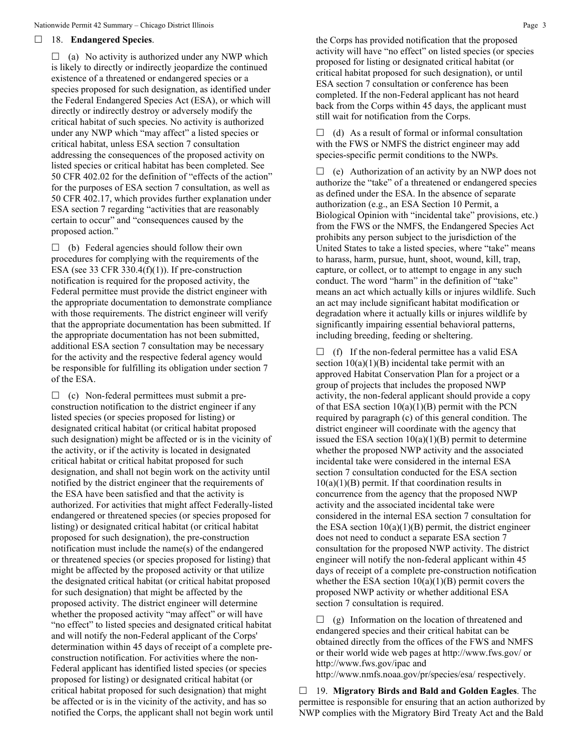#### 18. **Endangered Species**.

 $\Box$  (a) No activity is authorized under any NWP which is likely to directly or indirectly jeopardize the continued existence of a threatened or endangered species or a species proposed for such designation, as identified under the Federal Endangered Species Act (ESA), or which will directly or indirectly destroy or adversely modify the critical habitat of such species. No activity is authorized under any NWP which "may affect" a listed species or critical habitat, unless ESA section 7 consultation addressing the consequences of the proposed activity on listed species or critical habitat has been completed. See 50 CFR 402.02 for the definition of "effects of the action" for the purposes of ESA section 7 consultation, as well as 50 CFR 402.17, which provides further explanation under ESA section 7 regarding "activities that are reasonably certain to occur" and "consequences caused by the proposed action."

 $\Box$  (b) Federal agencies should follow their own procedures for complying with the requirements of the ESA (see 33 CFR 330.4 $(f)(1)$ ). If pre-construction notification is required for the proposed activity, the Federal permittee must provide the district engineer with the appropriate documentation to demonstrate compliance with those requirements. The district engineer will verify that the appropriate documentation has been submitted. If the appropriate documentation has not been submitted, additional ESA section 7 consultation may be necessary for the activity and the respective federal agency would be responsible for fulfilling its obligation under section 7 of the ESA.

 $\Box$  (c) Non-federal permittees must submit a preconstruction notification to the district engineer if any listed species (or species proposed for listing) or designated critical habitat (or critical habitat proposed such designation) might be affected or is in the vicinity of the activity, or if the activity is located in designated critical habitat or critical habitat proposed for such designation, and shall not begin work on the activity until notified by the district engineer that the requirements of the ESA have been satisfied and that the activity is authorized. For activities that might affect Federally-listed endangered or threatened species (or species proposed for listing) or designated critical habitat (or critical habitat proposed for such designation), the pre-construction notification must include the name(s) of the endangered or threatened species (or species proposed for listing) that might be affected by the proposed activity or that utilize the designated critical habitat (or critical habitat proposed for such designation) that might be affected by the proposed activity. The district engineer will determine whether the proposed activity "may affect" or will have "no effect" to listed species and designated critical habitat and will notify the non-Federal applicant of the Corps' determination within 45 days of receipt of a complete preconstruction notification. For activities where the non-Federal applicant has identified listed species (or species proposed for listing) or designated critical habitat (or critical habitat proposed for such designation) that might be affected or is in the vicinity of the activity, and has so notified the Corps, the applicant shall not begin work until the Corps has provided notification that the proposed activity will have "no effect" on listed species (or species proposed for listing or designated critical habitat (or critical habitat proposed for such designation), or until ESA section 7 consultation or conference has been completed. If the non-Federal applicant has not heard back from the Corps within 45 days, the applicant must still wait for notification from the Corps.

 $\Box$  (d) As a result of formal or informal consultation with the FWS or NMFS the district engineer may add species-specific permit conditions to the NWPs.

 $\Box$  (e) Authorization of an activity by an NWP does not authorize the "take" of a threatened or endangered species as defined under the ESA. In the absence of separate authorization (e.g., an ESA Section 10 Permit, a Biological Opinion with "incidental take" provisions, etc.) from the FWS or the NMFS, the Endangered Species Act prohibits any person subject to the jurisdiction of the United States to take a listed species, where "take" means to harass, harm, pursue, hunt, shoot, wound, kill, trap, capture, or collect, or to attempt to engage in any such conduct. The word "harm" in the definition of "take" means an act which actually kills or injures wildlife. Such an act may include significant habitat modification or degradation where it actually kills or injures wildlife by significantly impairing essential behavioral patterns, including breeding, feeding or sheltering.

 $\Box$  (f) If the non-federal permittee has a valid ESA section  $10(a)(1)(B)$  incidental take permit with an approved Habitat Conservation Plan for a project or a group of projects that includes the proposed NWP activity, the non-federal applicant should provide a copy of that ESA section  $10(a)(1)(B)$  permit with the PCN required by paragraph (c) of this general condition. The district engineer will coordinate with the agency that issued the ESA section  $10(a)(1)(B)$  permit to determine whether the proposed NWP activity and the associated incidental take were considered in the internal ESA section 7 consultation conducted for the ESA section  $10(a)(1)(B)$  permit. If that coordination results in concurrence from the agency that the proposed NWP activity and the associated incidental take were considered in the internal ESA section 7 consultation for the ESA section  $10(a)(1)(B)$  permit, the district engineer does not need to conduct a separate ESA section 7 consultation for the proposed NWP activity. The district engineer will notify the non-federal applicant within 45 days of receipt of a complete pre-construction notification whether the ESA section  $10(a)(1)(B)$  permit covers the proposed NWP activity or whether additional ESA section 7 consultation is required.

 $\Box$  (g) Information on the location of threatened and endangered species and their critical habitat can be obtained directly from the offices of the FWS and NMFS or their world wide web pages at http://www.fws.gov/ or http://www.fws.gov/ipac and

http://www.nmfs.noaa.gov/pr/species/esa/ respectively.

 19. **Migratory Birds and Bald and Golden Eagles**. The permittee is responsible for ensuring that an action authorized by NWP complies with the Migratory Bird Treaty Act and the Bald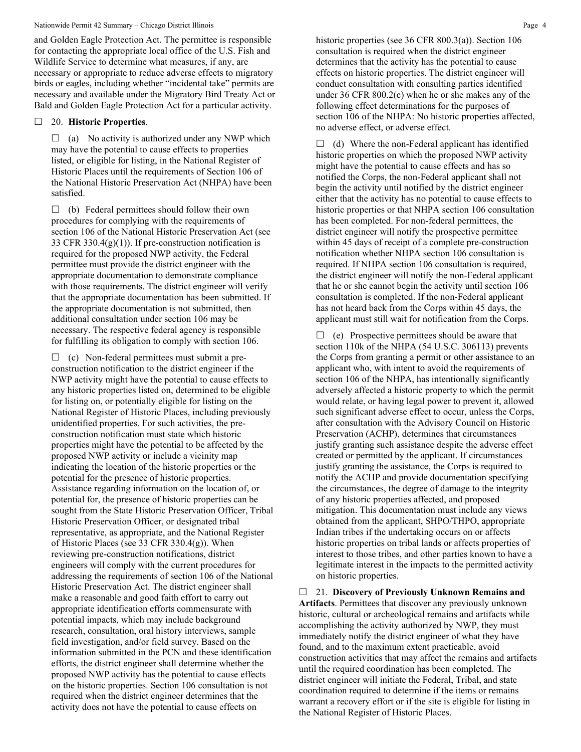#### Nationwide Permit 42 Summary – Chicago District Illinois **Page 4** and the extent of the extent of the extent of the extent of the extent of the extent of the extent of the extent of the extent of the extent of the extent o

and Golden Eagle Protection Act. The permittee is responsible for contacting the appropriate local office of the U.S. Fish and Wildlife Service to determine what measures, if any, are necessary or appropriate to reduce adverse effects to migratory birds or eagles, including whether "incidental take" permits are necessary and available under the Migratory Bird Treaty Act or Bald and Golden Eagle Protection Act for a particular activity.

#### 20. **Historic Properties**.

 $\Box$  (a) No activity is authorized under any NWP which may have the potential to cause effects to properties listed, or eligible for listing, in the National Register of Historic Places until the requirements of Section 106 of the National Historic Preservation Act (NHPA) have been satisfied.

 $\Box$  (b) Federal permittees should follow their own procedures for complying with the requirements of section 106 of the National Historic Preservation Act (see 33 CFR 330.4(g)(1)). If pre-construction notification is required for the proposed NWP activity, the Federal permittee must provide the district engineer with the appropriate documentation to demonstrate compliance with those requirements. The district engineer will verify that the appropriate documentation has been submitted. If the appropriate documentation is not submitted, then additional consultation under section 106 may be necessary. The respective federal agency is responsible for fulfilling its obligation to comply with section 106.

 $\Box$  (c) Non-federal permittees must submit a preconstruction notification to the district engineer if the NWP activity might have the potential to cause effects to any historic properties listed on, determined to be eligible for listing on, or potentially eligible for listing on the National Register of Historic Places, including previously unidentified properties. For such activities, the preconstruction notification must state which historic properties might have the potential to be affected by the proposed NWP activity or include a vicinity map indicating the location of the historic properties or the potential for the presence of historic properties. Assistance regarding information on the location of, or potential for, the presence of historic properties can be sought from the State Historic Preservation Officer, Tribal Historic Preservation Officer, or designated tribal representative, as appropriate, and the National Register of Historic Places (see 33 CFR 330.4(g)). When reviewing pre-construction notifications, district engineers will comply with the current procedures for addressing the requirements of section 106 of the National Historic Preservation Act. The district engineer shall make a reasonable and good faith effort to carry out appropriate identification efforts commensurate with potential impacts, which may include background research, consultation, oral history interviews, sample field investigation, and/or field survey. Based on the information submitted in the PCN and these identification efforts, the district engineer shall determine whether the proposed NWP activity has the potential to cause effects on the historic properties. Section 106 consultation is not required when the district engineer determines that the activity does not have the potential to cause effects on

historic properties (see 36 CFR 800.3(a)). Section 106 consultation is required when the district engineer determines that the activity has the potential to cause effects on historic properties. The district engineer will conduct consultation with consulting parties identified under 36 CFR 800.2(c) when he or she makes any of the following effect determinations for the purposes of section 106 of the NHPA: No historic properties affected, no adverse effect, or adverse effect.

 $\Box$  (d) Where the non-Federal applicant has identified historic properties on which the proposed NWP activity might have the potential to cause effects and has so notified the Corps, the non-Federal applicant shall not begin the activity until notified by the district engineer either that the activity has no potential to cause effects to historic properties or that NHPA section 106 consultation has been completed. For non-federal permittees, the district engineer will notify the prospective permittee within 45 days of receipt of a complete pre-construction notification whether NHPA section 106 consultation is required. If NHPA section 106 consultation is required, the district engineer will notify the non-Federal applicant that he or she cannot begin the activity until section 106 consultation is completed. If the non-Federal applicant has not heard back from the Corps within 45 days, the applicant must still wait for notification from the Corps.

 $\Box$  (e) Prospective permittees should be aware that section 110k of the NHPA (54 U.S.C. 306113) prevents the Corps from granting a permit or other assistance to an applicant who, with intent to avoid the requirements of section 106 of the NHPA, has intentionally significantly adversely affected a historic property to which the permit would relate, or having legal power to prevent it, allowed such significant adverse effect to occur, unless the Corps, after consultation with the Advisory Council on Historic Preservation (ACHP), determines that circumstances justify granting such assistance despite the adverse effect created or permitted by the applicant. If circumstances justify granting the assistance, the Corps is required to notify the ACHP and provide documentation specifying the circumstances, the degree of damage to the integrity of any historic properties affected, and proposed mitigation. This documentation must include any views obtained from the applicant, SHPO/THPO, appropriate Indian tribes if the undertaking occurs on or affects historic properties on tribal lands or affects properties of interest to those tribes, and other parties known to have a legitimate interest in the impacts to the permitted activity on historic properties.

 21. **Discovery of Previously Unknown Remains and Artifacts**. Permittees that discover any previously unknown historic, cultural or archeological remains and artifacts while accomplishing the activity authorized by NWP, they must immediately notify the district engineer of what they have found, and to the maximum extent practicable, avoid construction activities that may affect the remains and artifacts until the required coordination has been completed. The district engineer will initiate the Federal, Tribal, and state coordination required to determine if the items or remains warrant a recovery effort or if the site is eligible for listing in the National Register of Historic Places.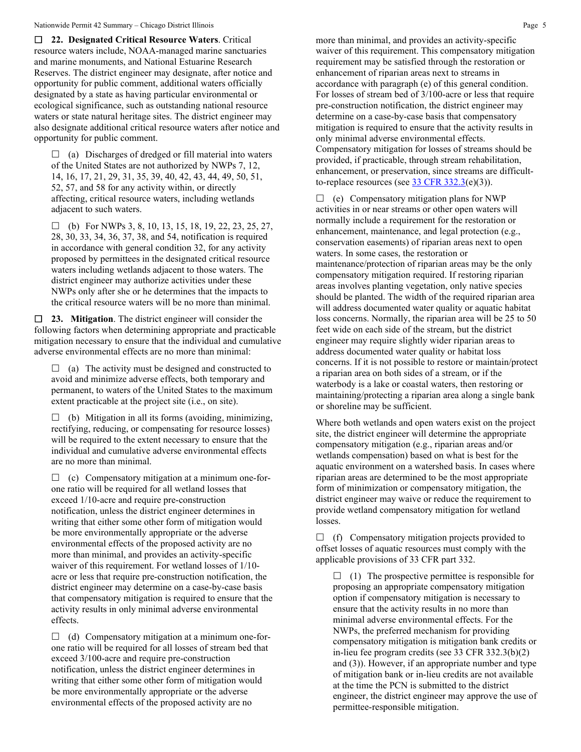**22. Designated Critical Resource Waters**. Critical resource waters include, NOAA-managed marine sanctuaries and marine monuments, and National Estuarine Research Reserves. The district engineer may designate, after notice and opportunity for public comment, additional waters officially designated by a state as having particular environmental or ecological significance, such as outstanding national resource waters or state natural heritage sites. The district engineer may also designate additional critical resource waters after notice and opportunity for public comment.

 $\Box$  (a) Discharges of dredged or fill material into waters of the United States are not authorized by NWPs 7, 12, 14, 16, 17, 21, 29, 31, 35, 39, 40, 42, 43, 44, 49, 50, 51, 52, 57, and 58 for any activity within, or directly affecting, critical resource waters, including wetlands adjacent to such waters.

 $\Box$  (b) For NWPs 3, 8, 10, 13, 15, 18, 19, 22, 23, 25, 27, 28, 30, 33, 34, 36, 37, 38, and 54, notification is required in accordance with general condition 32, for any activity proposed by permittees in the designated critical resource waters including wetlands adjacent to those waters. The district engineer may authorize activities under these NWPs only after she or he determines that the impacts to the critical resource waters will be no more than minimal.

 **23. Mitigation**. The district engineer will consider the following factors when determining appropriate and practicable mitigation necessary to ensure that the individual and cumulative adverse environmental effects are no more than minimal:

 $\Box$  (a) The activity must be designed and constructed to avoid and minimize adverse effects, both temporary and permanent, to waters of the United States to the maximum extent practicable at the project site (i.e., on site).

 $\Box$  (b) Mitigation in all its forms (avoiding, minimizing, rectifying, reducing, or compensating for resource losses) will be required to the extent necessary to ensure that the individual and cumulative adverse environmental effects are no more than minimal.

 $\Box$  (c) Compensatory mitigation at a minimum one-forone ratio will be required for all wetland losses that exceed 1/10-acre and require pre-construction notification, unless the district engineer determines in writing that either some other form of mitigation would be more environmentally appropriate or the adverse environmental effects of the proposed activity are no more than minimal, and provides an activity-specific waiver of this requirement. For wetland losses of 1/10 acre or less that require pre-construction notification, the district engineer may determine on a case-by-case basis that compensatory mitigation is required to ensure that the activity results in only minimal adverse environmental effects.

 $\Box$  (d) Compensatory mitigation at a minimum one-forone ratio will be required for all losses of stream bed that exceed 3/100-acre and require pre-construction notification, unless the district engineer determines in writing that either some other form of mitigation would be more environmentally appropriate or the adverse environmental effects of the proposed activity are no

more than minimal, and provides an activity-specific waiver of this requirement. This compensatory mitigation requirement may be satisfied through the restoration or enhancement of riparian areas next to streams in accordance with paragraph (e) of this general condition. For losses of stream bed of 3/100-acre or less that require pre-construction notification, the district engineer may determine on a case-by-case basis that compensatory mitigation is required to ensure that the activity results in only minimal adverse environmental effects. Compensatory mitigation for losses of streams should be provided, if practicable, through stream rehabilitation, enhancement, or preservation, since streams are difficultto-replace resources (see  $\frac{33 \text{ CFR } 332.3(e)(3)}{25}$ .

 $\Box$  (e) Compensatory mitigation plans for NWP activities in or near streams or other open waters will normally include a requirement for the restoration or enhancement, maintenance, and legal protection (e.g., conservation easements) of riparian areas next to open waters. In some cases, the restoration or maintenance/protection of riparian areas may be the only compensatory mitigation required. If restoring riparian areas involves planting vegetation, only native species should be planted. The width of the required riparian area will address documented water quality or aquatic habitat loss concerns. Normally, the riparian area will be 25 to 50 feet wide on each side of the stream, but the district engineer may require slightly wider riparian areas to address documented water quality or habitat loss concerns. If it is not possible to restore or maintain/protect a riparian area on both sides of a stream, or if the waterbody is a lake or coastal waters, then restoring or maintaining/protecting a riparian area along a single bank or shoreline may be sufficient.

Where both wetlands and open waters exist on the project site, the district engineer will determine the appropriate compensatory mitigation (e.g., riparian areas and/or wetlands compensation) based on what is best for the aquatic environment on a watershed basis. In cases where riparian areas are determined to be the most appropriate form of minimization or compensatory mitigation, the district engineer may waive or reduce the requirement to provide wetland compensatory mitigation for wetland losses.

 $\Box$  (f) Compensatory mitigation projects provided to offset losses of aquatic resources must comply with the applicable provisions of 33 CFR part 332.

 $\Box$  (1) The prospective permittee is responsible for proposing an appropriate compensatory mitigation option if compensatory mitigation is necessary to ensure that the activity results in no more than minimal adverse environmental effects. For the NWPs, the preferred mechanism for providing compensatory mitigation is mitigation bank credits or in-lieu fee program credits (see 33 CFR 332.3(b)(2) and (3)). However, if an appropriate number and type of mitigation bank or in-lieu credits are not available at the time the PCN is submitted to the district engineer, the district engineer may approve the use of permittee-responsible mitigation.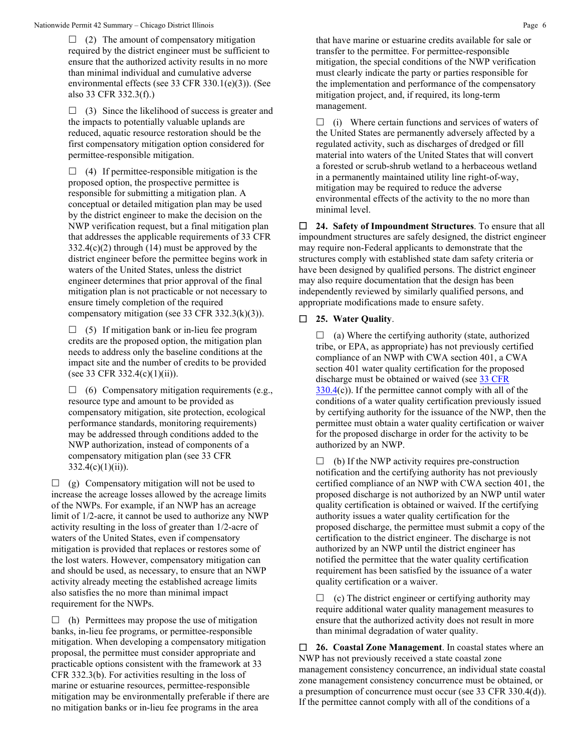$\Box$  (2) The amount of compensatory mitigation required by the district engineer must be sufficient to ensure that the authorized activity results in no more than minimal individual and cumulative adverse environmental effects (see 33 CFR 330.1(e)(3)). (See also 33 CFR 332.3(f).)

 $\Box$  (3) Since the likelihood of success is greater and the impacts to potentially valuable uplands are reduced, aquatic resource restoration should be the first compensatory mitigation option considered for permittee-responsible mitigation.

 $\Box$  (4) If permittee-responsible mitigation is the proposed option, the prospective permittee is responsible for submitting a mitigation plan. A conceptual or detailed mitigation plan may be used by the district engineer to make the decision on the NWP verification request, but a final mitigation plan that addresses the applicable requirements of 33 CFR  $332.4(c)(2)$  through (14) must be approved by the district engineer before the permittee begins work in waters of the United States, unless the district engineer determines that prior approval of the final mitigation plan is not practicable or not necessary to ensure timely completion of the required compensatory mitigation (see 33 CFR 332.3(k)(3)).

 $\Box$  (5) If mitigation bank or in-lieu fee program credits are the proposed option, the mitigation plan needs to address only the baseline conditions at the impact site and the number of credits to be provided (see 33 CFR 332.4(c)(1)(ii)).

 $\Box$  (6) Compensatory mitigation requirements (e.g., resource type and amount to be provided as compensatory mitigation, site protection, ecological performance standards, monitoring requirements) may be addressed through conditions added to the NWP authorization, instead of components of a compensatory mitigation plan (see 33 CFR  $332.4(c)(1)(ii)$ ).

 $\Box$  (g) Compensatory mitigation will not be used to increase the acreage losses allowed by the acreage limits of the NWPs. For example, if an NWP has an acreage limit of 1/2-acre, it cannot be used to authorize any NWP activity resulting in the loss of greater than 1/2-acre of waters of the United States, even if compensatory mitigation is provided that replaces or restores some of the lost waters. However, compensatory mitigation can and should be used, as necessary, to ensure that an NWP activity already meeting the established acreage limits also satisfies the no more than minimal impact requirement for the NWPs.

 $\Box$  (h) Permittees may propose the use of mitigation banks, in-lieu fee programs, or permittee-responsible mitigation. When developing a compensatory mitigation proposal, the permittee must consider appropriate and practicable options consistent with the framework at 33 CFR 332.3(b). For activities resulting in the loss of marine or estuarine resources, permittee-responsible mitigation may be environmentally preferable if there are no mitigation banks or in-lieu fee programs in the area

that have marine or estuarine credits available for sale or transfer to the permittee. For permittee-responsible mitigation, the special conditions of the NWP verification must clearly indicate the party or parties responsible for the implementation and performance of the compensatory mitigation project, and, if required, its long-term management.

 $\Box$  (i) Where certain functions and services of waters of the United States are permanently adversely affected by a regulated activity, such as discharges of dredged or fill material into waters of the United States that will convert a forested or scrub-shrub wetland to a herbaceous wetland in a permanently maintained utility line right-of-way, mitigation may be required to reduce the adverse environmental effects of the activity to the no more than minimal level.

 **24. Safety of Impoundment Structures**. To ensure that all impoundment structures are safely designed, the district engineer may require non-Federal applicants to demonstrate that the structures comply with established state dam safety criteria or have been designed by qualified persons. The district engineer may also require documentation that the design has been independently reviewed by similarly qualified persons, and appropriate modifications made to ensure safety.

## **25. Water Quality**.

 $\Box$  (a) Where the certifying authority (state, authorized tribe, or EPA, as appropriate) has not previously certified compliance of an NWP with CWA section 401, a CWA section 401 water quality certification for the proposed discharge must be obtained or waived (see 33 CFR  $330.4(c)$  $330.4(c)$ ). If the permittee cannot comply with all of the conditions of a water quality certification previously issued by certifying authority for the issuance of the NWP, then the permittee must obtain a water quality certification or waiver for the proposed discharge in order for the activity to be authorized by an NWP.

 $\Box$  (b) If the NWP activity requires pre-construction notification and the certifying authority has not previously certified compliance of an NWP with CWA section 401, the proposed discharge is not authorized by an NWP until water quality certification is obtained or waived. If the certifying authority issues a water quality certification for the proposed discharge, the permittee must submit a copy of the certification to the district engineer. The discharge is not authorized by an NWP until the district engineer has notified the permittee that the water quality certification requirement has been satisfied by the issuance of a water quality certification or a waiver.

 $\Box$  (c) The district engineer or certifying authority may require additional water quality management measures to ensure that the authorized activity does not result in more than minimal degradation of water quality.

 **26. Coastal Zone Management**. In coastal states where an NWP has not previously received a state coastal zone management consistency concurrence, an individual state coastal zone management consistency concurrence must be obtained, or a presumption of concurrence must occur (see 33 CFR 330.4(d)). If the permittee cannot comply with all of the conditions of a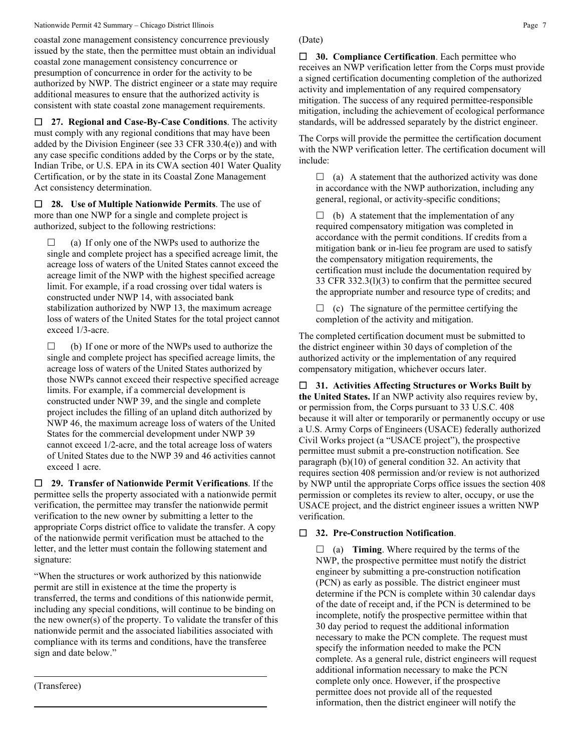#### Nationwide Permit 42 Summary – Chicago District Illinois **Page 7** Page 7

coastal zone management consistency concurrence previously issued by the state, then the permittee must obtain an individual coastal zone management consistency concurrence or presumption of concurrence in order for the activity to be authorized by NWP. The district engineer or a state may require additional measures to ensure that the authorized activity is consistent with state coastal zone management requirements.

 **27. Regional and Case-By-Case Conditions**. The activity must comply with any regional conditions that may have been added by the Division Engineer (see 33 CFR 330.4(e)) and with any case specific conditions added by the Corps or by the state, Indian Tribe, or U.S. EPA in its CWA section 401 Water Quality Certification, or by the state in its Coastal Zone Management Act consistency determination.

 **28. Use of Multiple Nationwide Permits**. The use of more than one NWP for a single and complete project is authorized, subject to the following restrictions:

 $\Box$  (a) If only one of the NWPs used to authorize the single and complete project has a specified acreage limit, the acreage loss of waters of the United States cannot exceed the acreage limit of the NWP with the highest specified acreage limit. For example, if a road crossing over tidal waters is constructed under NWP 14, with associated bank stabilization authorized by NWP 13, the maximum acreage loss of waters of the United States for the total project cannot exceed 1/3-acre.

 $\Box$  (b) If one or more of the NWPs used to authorize the single and complete project has specified acreage limits, the acreage loss of waters of the United States authorized by those NWPs cannot exceed their respective specified acreage limits. For example, if a commercial development is constructed under NWP 39, and the single and complete project includes the filling of an upland ditch authorized by NWP 46, the maximum acreage loss of waters of the United States for the commercial development under NWP 39 cannot exceed 1/2-acre, and the total acreage loss of waters of United States due to the NWP 39 and 46 activities cannot exceed 1 acre.

 **29. Transfer of Nationwide Permit Verifications**. If the permittee sells the property associated with a nationwide permit verification, the permittee may transfer the nationwide permit verification to the new owner by submitting a letter to the appropriate Corps district office to validate the transfer. A copy of the nationwide permit verification must be attached to the letter, and the letter must contain the following statement and signature:

"When the structures or work authorized by this nationwide permit are still in existence at the time the property is transferred, the terms and conditions of this nationwide permit, including any special conditions, will continue to be binding on the new owner(s) of the property. To validate the transfer of this nationwide permit and the associated liabilities associated with compliance with its terms and conditions, have the transferee sign and date below."

# (Transferee)

# (Date)

 **30. Compliance Certification**. Each permittee who receives an NWP verification letter from the Corps must provide a signed certification documenting completion of the authorized activity and implementation of any required compensatory mitigation. The success of any required permittee-responsible mitigation, including the achievement of ecological performance standards, will be addressed separately by the district engineer.

The Corps will provide the permittee the certification document with the NWP verification letter. The certification document will include:

 $\Box$  (a) A statement that the authorized activity was done in accordance with the NWP authorization, including any general, regional, or activity-specific conditions;

 $\Box$  (b) A statement that the implementation of any required compensatory mitigation was completed in accordance with the permit conditions. If credits from a mitigation bank or in-lieu fee program are used to satisfy the compensatory mitigation requirements, the certification must include the documentation required by 33 CFR 332.3(l)(3) to confirm that the permittee secured the appropriate number and resource type of credits; and

 $\Box$  (c) The signature of the permittee certifying the completion of the activity and mitigation.

The completed certification document must be submitted to the district engineer within 30 days of completion of the authorized activity or the implementation of any required compensatory mitigation, whichever occurs later.

 **31. Activities Affecting Structures or Works Built by the United States.** If an NWP activity also requires review by, or permission from, the Corps pursuant to 33 U.S.C. 408 because it will alter or temporarily or permanently occupy or use a U.S. Army Corps of Engineers (USACE) federally authorized Civil Works project (a "USACE project"), the prospective permittee must submit a pre-construction notification. See paragraph (b)(10) of general condition 32. An activity that requires section 408 permission and/or review is not authorized by NWP until the appropriate Corps office issues the section 408 permission or completes its review to alter, occupy, or use the USACE project, and the district engineer issues a written NWP verification.

# **32. Pre-Construction Notification**.

 $\Box$  (a) **Timing**. Where required by the terms of the NWP, the prospective permittee must notify the district engineer by submitting a pre-construction notification (PCN) as early as possible. The district engineer must determine if the PCN is complete within 30 calendar days of the date of receipt and, if the PCN is determined to be incomplete, notify the prospective permittee within that 30 day period to request the additional information necessary to make the PCN complete. The request must specify the information needed to make the PCN complete. As a general rule, district engineers will request additional information necessary to make the PCN complete only once. However, if the prospective permittee does not provide all of the requested information, then the district engineer will notify the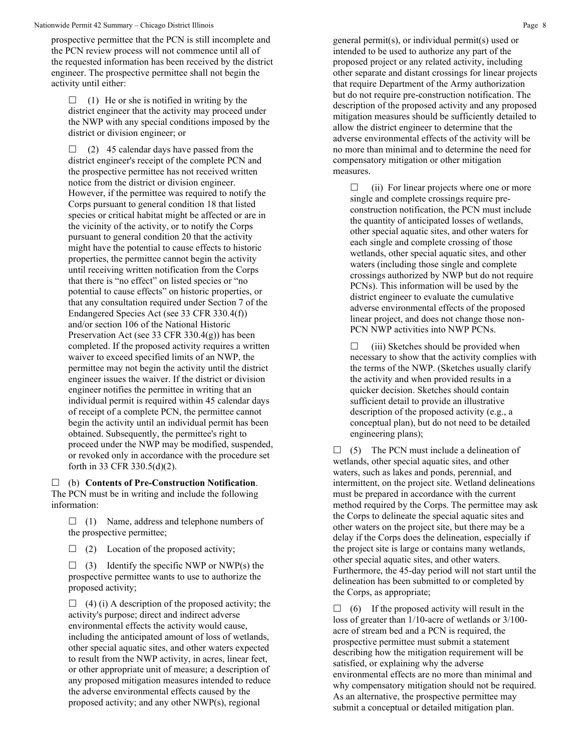prospective permittee that the PCN is still incomplete and the PCN review process will not commence until all of the requested information has been received by the district engineer. The prospective permittee shall not begin the activity until either:

 $\Box$  (1) He or she is notified in writing by the district engineer that the activity may proceed under the NWP with any special conditions imposed by the district or division engineer; or

 $\Box$  (2) 45 calendar days have passed from the district engineer's receipt of the complete PCN and the prospective permittee has not received written notice from the district or division engineer. However, if the permittee was required to notify the Corps pursuant to general condition 18 that listed species or critical habitat might be affected or are in the vicinity of the activity, or to notify the Corps pursuant to general condition 20 that the activity might have the potential to cause effects to historic properties, the permittee cannot begin the activity until receiving written notification from the Corps that there is "no effect" on listed species or "no potential to cause effects" on historic properties, or that any consultation required under Section 7 of the Endangered Species Act (see 33 CFR 330.4(f)) and/or section 106 of the National Historic Preservation Act (see 33 CFR 330.4(g)) has been completed. If the proposed activity requires a written waiver to exceed specified limits of an NWP, the permittee may not begin the activity until the district engineer issues the waiver. If the district or division engineer notifies the permittee in writing that an individual permit is required within 45 calendar days of receipt of a complete PCN, the permittee cannot begin the activity until an individual permit has been obtained. Subsequently, the permittee's right to proceed under the NWP may be modified, suspended, or revoked only in accordance with the procedure set forth in 33 CFR 330.5(d)(2).

 (b) **Contents of Pre-Construction Notification**. The PCN must be in writing and include the following information:

 $\Box$  (1) Name, address and telephone numbers of the prospective permittee;

 $\Box$  (2) Location of the proposed activity;

 $\Box$  (3) Identify the specific NWP or NWP(s) the prospective permittee wants to use to authorize the proposed activity;

 $\Box$  (4) (i) A description of the proposed activity; the activity's purpose; direct and indirect adverse environmental effects the activity would cause, including the anticipated amount of loss of wetlands, other special aquatic sites, and other waters expected to result from the NWP activity, in acres, linear feet, or other appropriate unit of measure; a description of any proposed mitigation measures intended to reduce the adverse environmental effects caused by the proposed activity; and any other NWP(s), regional

general permit(s), or individual permit(s) used or intended to be used to authorize any part of the proposed project or any related activity, including other separate and distant crossings for linear projects that require Department of the Army authorization but do not require pre-construction notification. The description of the proposed activity and any proposed mitigation measures should be sufficiently detailed to allow the district engineer to determine that the adverse environmental effects of the activity will be no more than minimal and to determine the need for compensatory mitigation or other mitigation measures.

 $\Box$  (ii) For linear projects where one or more single and complete crossings require preconstruction notification, the PCN must include the quantity of anticipated losses of wetlands, other special aquatic sites, and other waters for each single and complete crossing of those wetlands, other special aquatic sites, and other waters (including those single and complete crossings authorized by NWP but do not require PCNs). This information will be used by the district engineer to evaluate the cumulative adverse environmental effects of the proposed linear project, and does not change those non-PCN NWP activities into NWP PCNs.

 $\Box$  (iii) Sketches should be provided when necessary to show that the activity complies with the terms of the NWP. (Sketches usually clarify the activity and when provided results in a quicker decision. Sketches should contain sufficient detail to provide an illustrative description of the proposed activity (e.g., a conceptual plan), but do not need to be detailed engineering plans);

 $\Box$  (5) The PCN must include a delineation of wetlands, other special aquatic sites, and other waters, such as lakes and ponds, perennial, and intermittent, on the project site. Wetland delineations must be prepared in accordance with the current method required by the Corps. The permittee may ask the Corps to delineate the special aquatic sites and other waters on the project site, but there may be a delay if the Corps does the delineation, especially if the project site is large or contains many wetlands, other special aquatic sites, and other waters. Furthermore, the 45-day period will not start until the delineation has been submitted to or completed by the Corps, as appropriate;

 $\Box$  (6) If the proposed activity will result in the loss of greater than 1/10-acre of wetlands or 3/100 acre of stream bed and a PCN is required, the prospective permittee must submit a statement describing how the mitigation requirement will be satisfied, or explaining why the adverse environmental effects are no more than minimal and why compensatory mitigation should not be required. As an alternative, the prospective permittee may submit a conceptual or detailed mitigation plan.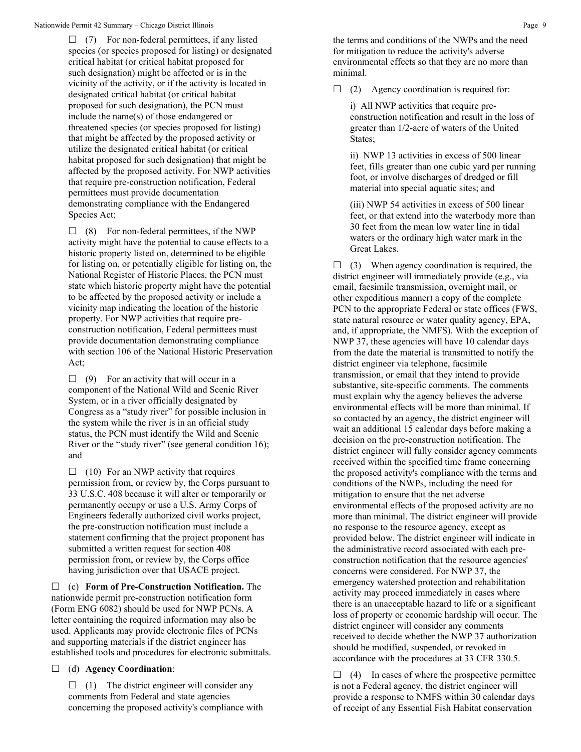$\Box$  (7) For non-federal permittees, if any listed species (or species proposed for listing) or designated critical habitat (or critical habitat proposed for such designation) might be affected or is in the vicinity of the activity, or if the activity is located in designated critical habitat (or critical habitat proposed for such designation), the PCN must include the name(s) of those endangered or threatened species (or species proposed for listing) that might be affected by the proposed activity or utilize the designated critical habitat (or critical habitat proposed for such designation) that might be affected by the proposed activity. For NWP activities that require pre-construction notification, Federal permittees must provide documentation demonstrating compliance with the Endangered Species Act;

 $\Box$  (8) For non-federal permittees, if the NWP activity might have the potential to cause effects to a historic property listed on, determined to be eligible for listing on, or potentially eligible for listing on, the National Register of Historic Places, the PCN must state which historic property might have the potential to be affected by the proposed activity or include a vicinity map indicating the location of the historic property. For NWP activities that require preconstruction notification, Federal permittees must provide documentation demonstrating compliance with section 106 of the National Historic Preservation Act;

 $\Box$  (9) For an activity that will occur in a component of the National Wild and Scenic River System, or in a river officially designated by Congress as a "study river" for possible inclusion in the system while the river is in an official study status, the PCN must identify the Wild and Scenic River or the "study river" (see general condition 16); and

 $\Box$  (10) For an NWP activity that requires permission from, or review by, the Corps pursuant to 33 U.S.C. 408 because it will alter or temporarily or permanently occupy or use a U.S. Army Corps of Engineers federally authorized civil works project, the pre-construction notification must include a statement confirming that the project proponent has submitted a written request for section 408 permission from, or review by, the Corps office having jurisdiction over that USACE project.

 (c) **Form of Pre-Construction Notification.** The nationwide permit pre-construction notification form (Form ENG 6082) should be used for NWP PCNs. A letter containing the required information may also be used. Applicants may provide electronic files of PCNs and supporting materials if the district engineer has established tools and procedures for electronic submittals.

(d) **Agency Coordination**:

 $\Box$  (1) The district engineer will consider any comments from Federal and state agencies concerning the proposed activity's compliance with the terms and conditions of the NWPs and the need for mitigation to reduce the activity's adverse environmental effects so that they are no more than minimal.

 $\Box$  (2) Agency coordination is required for:

i) All NWP activities that require preconstruction notification and result in the loss of greater than 1/2-acre of waters of the United States;

ii) NWP 13 activities in excess of 500 linear feet, fills greater than one cubic yard per running foot, or involve discharges of dredged or fill material into special aquatic sites; and

(iii) NWP 54 activities in excess of 500 linear feet, or that extend into the waterbody more than 30 feet from the mean low water line in tidal waters or the ordinary high water mark in the Great Lakes.

 $\Box$  (3) When agency coordination is required, the district engineer will immediately provide (e.g., via email, facsimile transmission, overnight mail, or other expeditious manner) a copy of the complete PCN to the appropriate Federal or state offices (FWS, state natural resource or water quality agency, EPA, and, if appropriate, the NMFS). With the exception of NWP 37, these agencies will have 10 calendar days from the date the material is transmitted to notify the district engineer via telephone, facsimile transmission, or email that they intend to provide substantive, site-specific comments. The comments must explain why the agency believes the adverse environmental effects will be more than minimal. If so contacted by an agency, the district engineer will wait an additional 15 calendar days before making a decision on the pre-construction notification. The district engineer will fully consider agency comments received within the specified time frame concerning the proposed activity's compliance with the terms and conditions of the NWPs, including the need for mitigation to ensure that the net adverse environmental effects of the proposed activity are no more than minimal. The district engineer will provide no response to the resource agency, except as provided below. The district engineer will indicate in the administrative record associated with each preconstruction notification that the resource agencies' concerns were considered. For NWP 37, the emergency watershed protection and rehabilitation activity may proceed immediately in cases where there is an unacceptable hazard to life or a significant loss of property or economic hardship will occur. The district engineer will consider any comments received to decide whether the NWP 37 authorization should be modified, suspended, or revoked in accordance with the procedures at 33 CFR 330.5.

 $\Box$  (4) In cases of where the prospective permittee is not a Federal agency, the district engineer will provide a response to NMFS within 30 calendar days of receipt of any Essential Fish Habitat conservation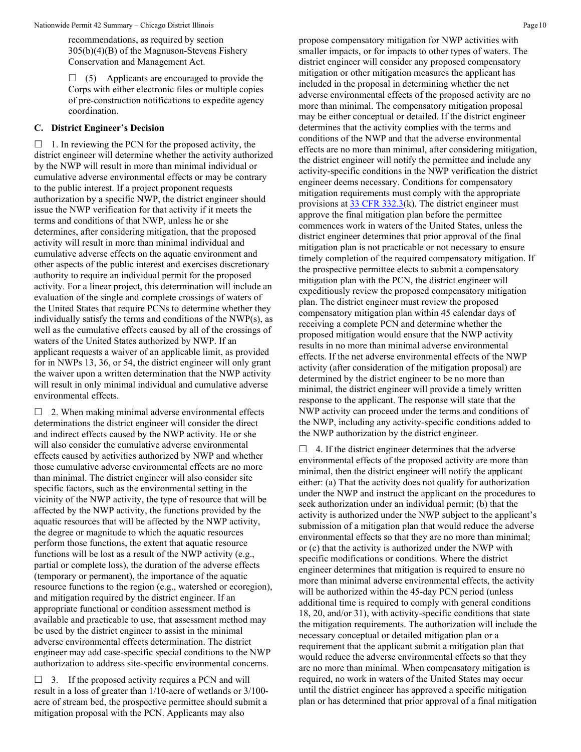recommendations, as required by section 305(b)(4)(B) of the Magnuson-Stevens Fishery Conservation and Management Act.

 $\Box$  (5) Applicants are encouraged to provide the Corps with either electronic files or multiple copies of pre-construction notifications to expedite agency coordination.

#### **C. District Engineer's Decision**

 $\Box$  1. In reviewing the PCN for the proposed activity, the district engineer will determine whether the activity authorized by the NWP will result in more than minimal individual or cumulative adverse environmental effects or may be contrary to the public interest. If a project proponent requests authorization by a specific NWP, the district engineer should issue the NWP verification for that activity if it meets the terms and conditions of that NWP, unless he or she determines, after considering mitigation, that the proposed activity will result in more than minimal individual and cumulative adverse effects on the aquatic environment and other aspects of the public interest and exercises discretionary authority to require an individual permit for the proposed activity. For a linear project, this determination will include an evaluation of the single and complete crossings of waters of the United States that require PCNs to determine whether they individually satisfy the terms and conditions of the NWP(s), as well as the cumulative effects caused by all of the crossings of waters of the United States authorized by NWP. If an applicant requests a waiver of an applicable limit, as provided for in NWPs 13, 36, or 54, the district engineer will only grant the waiver upon a written determination that the NWP activity will result in only minimal individual and cumulative adverse environmental effects.

 $\Box$  2. When making minimal adverse environmental effects determinations the district engineer will consider the direct and indirect effects caused by the NWP activity. He or she will also consider the cumulative adverse environmental effects caused by activities authorized by NWP and whether those cumulative adverse environmental effects are no more than minimal. The district engineer will also consider site specific factors, such as the environmental setting in the vicinity of the NWP activity, the type of resource that will be affected by the NWP activity, the functions provided by the aquatic resources that will be affected by the NWP activity, the degree or magnitude to which the aquatic resources perform those functions, the extent that aquatic resource functions will be lost as a result of the NWP activity (e.g., partial or complete loss), the duration of the adverse effects (temporary or permanent), the importance of the aquatic resource functions to the region (e.g., watershed or ecoregion), and mitigation required by the district engineer. If an appropriate functional or condition assessment method is available and practicable to use, that assessment method may be used by the district engineer to assist in the minimal adverse environmental effects determination. The district engineer may add case-specific special conditions to the NWP authorization to address site-specific environmental concerns.

 $\Box$  3. If the proposed activity requires a PCN and will result in a loss of greater than 1/10-acre of wetlands or 3/100 acre of stream bed, the prospective permittee should submit a mitigation proposal with the PCN. Applicants may also

propose compensatory mitigation for NWP activities with smaller impacts, or for impacts to other types of waters. The district engineer will consider any proposed compensatory mitigation or other mitigation measures the applicant has included in the proposal in determining whether the net adverse environmental effects of the proposed activity are no more than minimal. The compensatory mitigation proposal may be either conceptual or detailed. If the district engineer determines that the activity complies with the terms and conditions of the NWP and that the adverse environmental effects are no more than minimal, after considering mitigation, the district engineer will notify the permittee and include any activity-specific conditions in the NWP verification the district engineer deems necessary. Conditions for compensatory mitigation requirements must comply with the appropriate provisions at  $33 \text{ CFR } 332.3(k)$ . The district engineer must approve the final mitigation plan before the permittee commences work in waters of the United States, unless the district engineer determines that prior approval of the final mitigation plan is not practicable or not necessary to ensure timely completion of the required compensatory mitigation. If the prospective permittee elects to submit a compensatory mitigation plan with the PCN, the district engineer will expeditiously review the proposed compensatory mitigation plan. The district engineer must review the proposed compensatory mitigation plan within 45 calendar days of receiving a complete PCN and determine whether the proposed mitigation would ensure that the NWP activity results in no more than minimal adverse environmental effects. If the net adverse environmental effects of the NWP activity (after consideration of the mitigation proposal) are determined by the district engineer to be no more than minimal, the district engineer will provide a timely written response to the applicant. The response will state that the NWP activity can proceed under the terms and conditions of the NWP, including any activity-specific conditions added to the NWP authorization by the district engineer.

 $\Box$  4. If the district engineer determines that the adverse environmental effects of the proposed activity are more than minimal, then the district engineer will notify the applicant either: (a) That the activity does not qualify for authorization under the NWP and instruct the applicant on the procedures to seek authorization under an individual permit; (b) that the activity is authorized under the NWP subject to the applicant's submission of a mitigation plan that would reduce the adverse environmental effects so that they are no more than minimal; or (c) that the activity is authorized under the NWP with specific modifications or conditions. Where the district engineer determines that mitigation is required to ensure no more than minimal adverse environmental effects, the activity will be authorized within the 45-day PCN period (unless additional time is required to comply with general conditions 18, 20, and/or 31), with activity-specific conditions that state the mitigation requirements. The authorization will include the necessary conceptual or detailed mitigation plan or a requirement that the applicant submit a mitigation plan that would reduce the adverse environmental effects so that they are no more than minimal. When compensatory mitigation is required, no work in waters of the United States may occur until the district engineer has approved a specific mitigation plan or has determined that prior approval of a final mitigation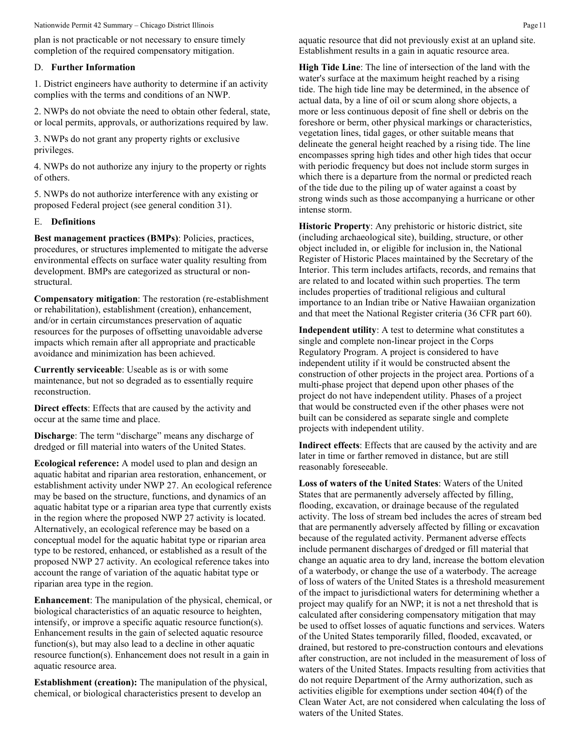plan is not practicable or not necessary to ensure timely completion of the required compensatory mitigation.

#### D. **Further Information**

1. District engineers have authority to determine if an activity complies with the terms and conditions of an NWP.

2. NWPs do not obviate the need to obtain other federal, state, or local permits, approvals, or authorizations required by law.

3. NWPs do not grant any property rights or exclusive privileges.

4. NWPs do not authorize any injury to the property or rights of others.

5. NWPs do not authorize interference with any existing or proposed Federal project (see general condition 31).

#### E. **Definitions**

**Best management practices (BMPs)**: Policies, practices, procedures, or structures implemented to mitigate the adverse environmental effects on surface water quality resulting from development. BMPs are categorized as structural or nonstructural.

**Compensatory mitigation**: The restoration (re-establishment or rehabilitation), establishment (creation), enhancement, and/or in certain circumstances preservation of aquatic resources for the purposes of offsetting unavoidable adverse impacts which remain after all appropriate and practicable avoidance and minimization has been achieved.

**Currently serviceable**: Useable as is or with some maintenance, but not so degraded as to essentially require reconstruction.

**Direct effects**: Effects that are caused by the activity and occur at the same time and place.

**Discharge**: The term "discharge" means any discharge of dredged or fill material into waters of the United States.

**Ecological reference:** A model used to plan and design an aquatic habitat and riparian area restoration, enhancement, or establishment activity under NWP 27. An ecological reference may be based on the structure, functions, and dynamics of an aquatic habitat type or a riparian area type that currently exists in the region where the proposed NWP 27 activity is located. Alternatively, an ecological reference may be based on a conceptual model for the aquatic habitat type or riparian area type to be restored, enhanced, or established as a result of the proposed NWP 27 activity. An ecological reference takes into account the range of variation of the aquatic habitat type or riparian area type in the region.

**Enhancement**: The manipulation of the physical, chemical, or biological characteristics of an aquatic resource to heighten, intensify, or improve a specific aquatic resource function(s). Enhancement results in the gain of selected aquatic resource function(s), but may also lead to a decline in other aquatic resource function(s). Enhancement does not result in a gain in aquatic resource area.

**Establishment (creation):** The manipulation of the physical, chemical, or biological characteristics present to develop an

aquatic resource that did not previously exist at an upland site. Establishment results in a gain in aquatic resource area.

**High Tide Line**: The line of intersection of the land with the water's surface at the maximum height reached by a rising tide. The high tide line may be determined, in the absence of actual data, by a line of oil or scum along shore objects, a more or less continuous deposit of fine shell or debris on the foreshore or berm, other physical markings or characteristics, vegetation lines, tidal gages, or other suitable means that delineate the general height reached by a rising tide. The line encompasses spring high tides and other high tides that occur with periodic frequency but does not include storm surges in which there is a departure from the normal or predicted reach of the tide due to the piling up of water against a coast by strong winds such as those accompanying a hurricane or other intense storm.

**Historic Property**: Any prehistoric or historic district, site (including archaeological site), building, structure, or other object included in, or eligible for inclusion in, the National Register of Historic Places maintained by the Secretary of the Interior. This term includes artifacts, records, and remains that are related to and located within such properties. The term includes properties of traditional religious and cultural importance to an Indian tribe or Native Hawaiian organization and that meet the National Register criteria (36 CFR part 60).

**Independent utility**: A test to determine what constitutes a single and complete non-linear project in the Corps Regulatory Program. A project is considered to have independent utility if it would be constructed absent the construction of other projects in the project area. Portions of a multi-phase project that depend upon other phases of the project do not have independent utility. Phases of a project that would be constructed even if the other phases were not built can be considered as separate single and complete projects with independent utility.

**Indirect effects**: Effects that are caused by the activity and are later in time or farther removed in distance, but are still reasonably foreseeable.

**Loss of waters of the United States**: Waters of the United States that are permanently adversely affected by filling, flooding, excavation, or drainage because of the regulated activity. The loss of stream bed includes the acres of stream bed that are permanently adversely affected by filling or excavation because of the regulated activity. Permanent adverse effects include permanent discharges of dredged or fill material that change an aquatic area to dry land, increase the bottom elevation of a waterbody, or change the use of a waterbody. The acreage of loss of waters of the United States is a threshold measurement of the impact to jurisdictional waters for determining whether a project may qualify for an NWP; it is not a net threshold that is calculated after considering compensatory mitigation that may be used to offset losses of aquatic functions and services. Waters of the United States temporarily filled, flooded, excavated, or drained, but restored to pre-construction contours and elevations after construction, are not included in the measurement of loss of waters of the United States. Impacts resulting from activities that do not require Department of the Army authorization, such as activities eligible for exemptions under section 404(f) of the Clean Water Act, are not considered when calculating the loss of waters of the United States.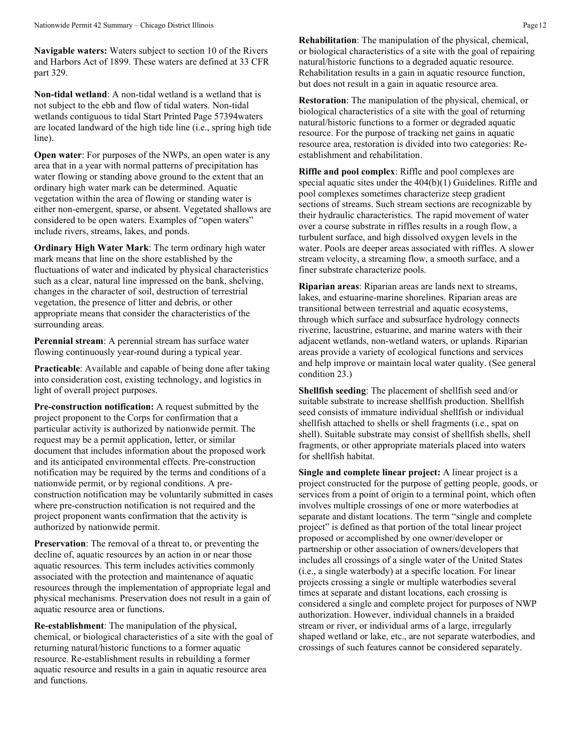**Navigable waters:** Waters subject to section 10 of the Rivers and Harbors Act of 1899. These waters are defined at 33 CFR part 329.

**Non-tidal wetland**: A non-tidal wetland is a wetland that is not subject to the ebb and flow of tidal waters. Non-tidal wetlands contiguous to tidal Start Printed Page 57394waters are located landward of the high tide line (i.e., spring high tide line).

**Open water:** For purposes of the NWPs, an open water is any area that in a year with normal patterns of precipitation has water flowing or standing above ground to the extent that an ordinary high water mark can be determined. Aquatic vegetation within the area of flowing or standing water is either non-emergent, sparse, or absent. Vegetated shallows are considered to be open waters. Examples of "open waters" include rivers, streams, lakes, and ponds.

**Ordinary High Water Mark**: The term ordinary high water mark means that line on the shore established by the fluctuations of water and indicated by physical characteristics such as a clear, natural line impressed on the bank, shelving, changes in the character of soil, destruction of terrestrial vegetation, the presence of litter and debris, or other appropriate means that consider the characteristics of the surrounding areas.

**Perennial stream**: A perennial stream has surface water flowing continuously year-round during a typical year.

**Practicable**: Available and capable of being done after taking into consideration cost, existing technology, and logistics in light of overall project purposes.

**Pre-construction notification:** A request submitted by the project proponent to the Corps for confirmation that a particular activity is authorized by nationwide permit. The request may be a permit application, letter, or similar document that includes information about the proposed work and its anticipated environmental effects. Pre-construction notification may be required by the terms and conditions of a nationwide permit, or by regional conditions. A preconstruction notification may be voluntarily submitted in cases where pre-construction notification is not required and the project proponent wants confirmation that the activity is authorized by nationwide permit.

**Preservation**: The removal of a threat to, or preventing the decline of, aquatic resources by an action in or near those aquatic resources. This term includes activities commonly associated with the protection and maintenance of aquatic resources through the implementation of appropriate legal and physical mechanisms. Preservation does not result in a gain of aquatic resource area or functions.

**Re-establishment**: The manipulation of the physical, chemical, or biological characteristics of a site with the goal of returning natural/historic functions to a former aquatic resource. Re-establishment results in rebuilding a former aquatic resource and results in a gain in aquatic resource area and functions.

**Rehabilitation**: The manipulation of the physical, chemical, or biological characteristics of a site with the goal of repairing natural/historic functions to a degraded aquatic resource. Rehabilitation results in a gain in aquatic resource function, but does not result in a gain in aquatic resource area.

**Restoration**: The manipulation of the physical, chemical, or biological characteristics of a site with the goal of returning natural/historic functions to a former or degraded aquatic resource. For the purpose of tracking net gains in aquatic resource area, restoration is divided into two categories: Reestablishment and rehabilitation.

**Riffle and pool complex**: Riffle and pool complexes are special aquatic sites under the 404(b)(1) Guidelines. Riffle and pool complexes sometimes characterize steep gradient sections of streams. Such stream sections are recognizable by their hydraulic characteristics. The rapid movement of water over a course substrate in riffles results in a rough flow, a turbulent surface, and high dissolved oxygen levels in the water. Pools are deeper areas associated with riffles. A slower stream velocity, a streaming flow, a smooth surface, and a finer substrate characterize pools.

**Riparian areas**: Riparian areas are lands next to streams, lakes, and estuarine-marine shorelines. Riparian areas are transitional between terrestrial and aquatic ecosystems, through which surface and subsurface hydrology connects riverine, lacustrine, estuarine, and marine waters with their adjacent wetlands, non-wetland waters, or uplands. Riparian areas provide a variety of ecological functions and services and help improve or maintain local water quality. (See general condition 23.)

**Shellfish seeding**: The placement of shellfish seed and/or suitable substrate to increase shellfish production. Shellfish seed consists of immature individual shellfish or individual shellfish attached to shells or shell fragments (i.e., spat on shell). Suitable substrate may consist of shellfish shells, shell fragments, or other appropriate materials placed into waters for shellfish habitat.

**Single and complete linear project:** A linear project is a project constructed for the purpose of getting people, goods, or services from a point of origin to a terminal point, which often involves multiple crossings of one or more waterbodies at separate and distant locations. The term "single and complete project" is defined as that portion of the total linear project proposed or accomplished by one owner/developer or partnership or other association of owners/developers that includes all crossings of a single water of the United States (i.e., a single waterbody) at a specific location. For linear projects crossing a single or multiple waterbodies several times at separate and distant locations, each crossing is considered a single and complete project for purposes of NWP authorization. However, individual channels in a braided stream or river, or individual arms of a large, irregularly shaped wetland or lake, etc., are not separate waterbodies, and crossings of such features cannot be considered separately.